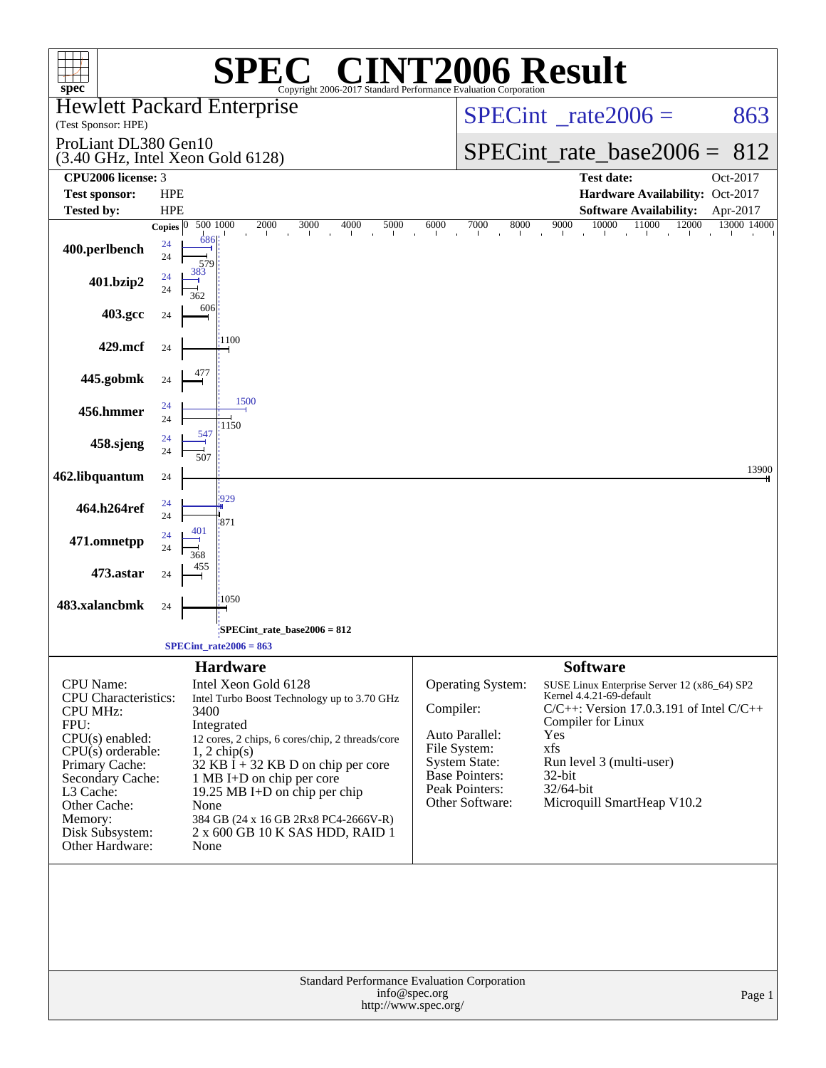|                                                                                                                                                                                                                                     |                          |                      | $\mathsf{I}(\overline{\mathbb{R}})$                                                                                                                                                                                                                                                                                                                              |                                  |                                                                                                                                           | <b>T2006 Result</b>                                                                                                                                                                                                                                                  |             |  |
|-------------------------------------------------------------------------------------------------------------------------------------------------------------------------------------------------------------------------------------|--------------------------|----------------------|------------------------------------------------------------------------------------------------------------------------------------------------------------------------------------------------------------------------------------------------------------------------------------------------------------------------------------------------------------------|----------------------------------|-------------------------------------------------------------------------------------------------------------------------------------------|----------------------------------------------------------------------------------------------------------------------------------------------------------------------------------------------------------------------------------------------------------------------|-------------|--|
| spec <sup>®</sup><br><b>Hewlett Packard Enterprise</b>                                                                                                                                                                              |                          |                      | Copyright 2006-2017 Standard Performance Evaluation Corporation                                                                                                                                                                                                                                                                                                  |                                  |                                                                                                                                           |                                                                                                                                                                                                                                                                      |             |  |
| (Test Sponsor: HPE)                                                                                                                                                                                                                 |                          |                      |                                                                                                                                                                                                                                                                                                                                                                  |                                  | $SPECint^{\circ}$ rate $2006 =$                                                                                                           | 863                                                                                                                                                                                                                                                                  |             |  |
| ProLiant DL380 Gen10<br>(3.40 GHz, Intel Xeon Gold 6128)                                                                                                                                                                            |                          |                      |                                                                                                                                                                                                                                                                                                                                                                  |                                  | $SPECint_rate_base2006 = 812$                                                                                                             |                                                                                                                                                                                                                                                                      |             |  |
| CPU <sub>2006</sub> license: 3                                                                                                                                                                                                      |                          |                      |                                                                                                                                                                                                                                                                                                                                                                  |                                  |                                                                                                                                           | <b>Test date:</b>                                                                                                                                                                                                                                                    | Oct-2017    |  |
| <b>Test sponsor:</b><br><b>Tested by:</b>                                                                                                                                                                                           | <b>HPE</b><br><b>HPE</b> |                      |                                                                                                                                                                                                                                                                                                                                                                  |                                  |                                                                                                                                           | Hardware Availability: Oct-2017<br><b>Software Availability:</b>                                                                                                                                                                                                     | Apr-2017    |  |
|                                                                                                                                                                                                                                     | <b>Copies</b>            |                      | 500 1000<br>$2000\,$<br>4000<br>5000<br>3000<br>$\sim$ $\mu$ .                                                                                                                                                                                                                                                                                                   | 6000<br>$\sim$<br>$\blacksquare$ | 7000<br>8000                                                                                                                              | 10000<br>11000<br>12000<br>9000<br>$\mathbf{r}$<br>$\blacksquare$                                                                                                                                                                                                    | 13000 14000 |  |
| 400.perlbench                                                                                                                                                                                                                       | 24<br>24                 | 686<br>579           |                                                                                                                                                                                                                                                                                                                                                                  |                                  |                                                                                                                                           |                                                                                                                                                                                                                                                                      |             |  |
| 401.bzip2                                                                                                                                                                                                                           | 24<br>24                 | 383<br>362           |                                                                                                                                                                                                                                                                                                                                                                  |                                  |                                                                                                                                           |                                                                                                                                                                                                                                                                      |             |  |
| 403.gcc                                                                                                                                                                                                                             | 24                       | 606                  |                                                                                                                                                                                                                                                                                                                                                                  |                                  |                                                                                                                                           |                                                                                                                                                                                                                                                                      |             |  |
| 429.mcf                                                                                                                                                                                                                             | 24                       |                      | 1100                                                                                                                                                                                                                                                                                                                                                             |                                  |                                                                                                                                           |                                                                                                                                                                                                                                                                      |             |  |
| 445.gobmk                                                                                                                                                                                                                           | 24                       |                      |                                                                                                                                                                                                                                                                                                                                                                  |                                  |                                                                                                                                           |                                                                                                                                                                                                                                                                      |             |  |
| 456.hmmer                                                                                                                                                                                                                           | 24<br>24                 |                      | 1500<br>1150                                                                                                                                                                                                                                                                                                                                                     |                                  |                                                                                                                                           |                                                                                                                                                                                                                                                                      |             |  |
| 458.sjeng                                                                                                                                                                                                                           | 24<br>24                 | 547<br>507           |                                                                                                                                                                                                                                                                                                                                                                  |                                  |                                                                                                                                           |                                                                                                                                                                                                                                                                      |             |  |
| 462.libquantum                                                                                                                                                                                                                      | 24                       |                      |                                                                                                                                                                                                                                                                                                                                                                  |                                  |                                                                                                                                           |                                                                                                                                                                                                                                                                      | 13900       |  |
| 464.h264ref                                                                                                                                                                                                                         | 24<br>24                 |                      | 929<br>871                                                                                                                                                                                                                                                                                                                                                       |                                  |                                                                                                                                           |                                                                                                                                                                                                                                                                      |             |  |
| 471.omnetpp                                                                                                                                                                                                                         | 24<br>24                 | 401<br>368           |                                                                                                                                                                                                                                                                                                                                                                  |                                  |                                                                                                                                           |                                                                                                                                                                                                                                                                      |             |  |
| 473.astar                                                                                                                                                                                                                           | 24                       |                      |                                                                                                                                                                                                                                                                                                                                                                  |                                  |                                                                                                                                           |                                                                                                                                                                                                                                                                      |             |  |
| 483.xalancbmk                                                                                                                                                                                                                       | 24                       |                      | 1050                                                                                                                                                                                                                                                                                                                                                             |                                  |                                                                                                                                           |                                                                                                                                                                                                                                                                      |             |  |
|                                                                                                                                                                                                                                     |                          |                      | SPECint_rate_base2006 = 812                                                                                                                                                                                                                                                                                                                                      |                                  |                                                                                                                                           |                                                                                                                                                                                                                                                                      |             |  |
|                                                                                                                                                                                                                                     |                          |                      | $SPECint_rate2006 = 863$                                                                                                                                                                                                                                                                                                                                         |                                  |                                                                                                                                           |                                                                                                                                                                                                                                                                      |             |  |
| <b>CPU</b> Name:<br>CPU Characteristics:<br><b>CPU MHz:</b><br>FPU:<br>$CPU(s)$ enabled:<br>$CPU(s)$ orderable:<br>Primary Cache:<br>Secondary Cache:<br>L3 Cache:<br>Other Cache:<br>Memory:<br>Disk Subsystem:<br>Other Hardware: |                          | 3400<br>None<br>None | <b>Hardware</b><br>Intel Xeon Gold 6128<br>Intel Turbo Boost Technology up to 3.70 GHz<br>Integrated<br>12 cores, 2 chips, 6 cores/chip, 2 threads/core<br>$1, 2$ chip(s)<br>32 KB $\bar{I}$ + 32 KB D on chip per core<br>1 MB I+D on chip per core<br>19.25 MB I+D on chip per chip<br>384 GB (24 x 16 GB 2Rx8 PC4-2666V-R)<br>2 x 600 GB 10 K SAS HDD, RAID 1 | Compiler:                        | Operating System:<br>Auto Parallel:<br>File System:<br><b>System State:</b><br><b>Base Pointers:</b><br>Peak Pointers:<br>Other Software: | <b>Software</b><br>SUSE Linux Enterprise Server 12 (x86_64) SP2<br>Kernel 4.4.21-69-default<br>$C/C++$ : Version 17.0.3.191 of Intel $C/C++$<br>Compiler for Linux<br>Yes<br>xfs<br>Run level 3 (multi-user)<br>$32$ -bit<br>32/64-bit<br>Microquill SmartHeap V10.2 |             |  |
| Standard Performance Evaluation Corporation<br>info@spec.org<br>Page 1<br>http://www.spec.org/                                                                                                                                      |                          |                      |                                                                                                                                                                                                                                                                                                                                                                  |                                  |                                                                                                                                           |                                                                                                                                                                                                                                                                      |             |  |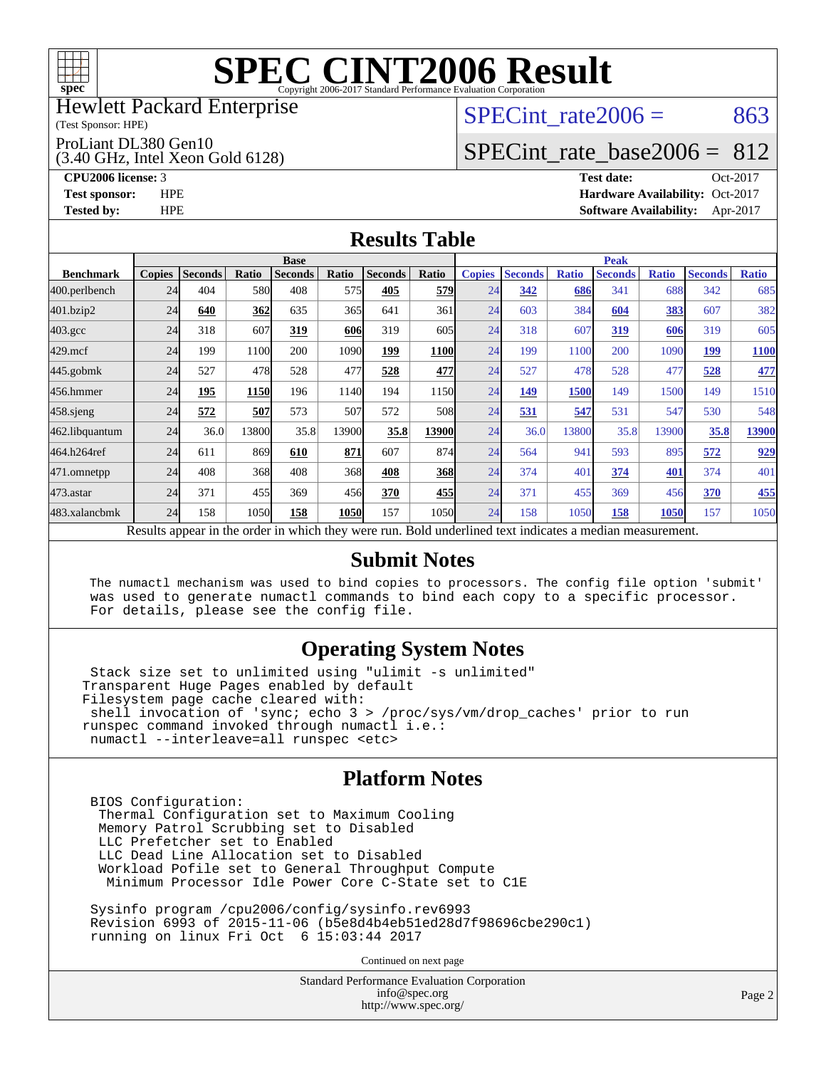

#### Hewlett Packard Enterprise

(Test Sponsor: HPE)

#### ProLiant DL380 Gen10

(3.40 GHz, Intel Xeon Gold 6128)

SPECint rate $2006 = 863$ 

## [SPECint\\_rate\\_base2006 =](http://www.spec.org/auto/cpu2006/Docs/result-fields.html#SPECintratebase2006) 812

**[CPU2006 license:](http://www.spec.org/auto/cpu2006/Docs/result-fields.html#CPU2006license)** 3 **[Test date:](http://www.spec.org/auto/cpu2006/Docs/result-fields.html#Testdate)** Oct-2017 **[Test sponsor:](http://www.spec.org/auto/cpu2006/Docs/result-fields.html#Testsponsor)** HPE **[Hardware Availability:](http://www.spec.org/auto/cpu2006/Docs/result-fields.html#HardwareAvailability)** Oct-2017 **[Tested by:](http://www.spec.org/auto/cpu2006/Docs/result-fields.html#Testedby)** HPE **[Software Availability:](http://www.spec.org/auto/cpu2006/Docs/result-fields.html#SoftwareAvailability)** Apr-2017

#### **[Results Table](http://www.spec.org/auto/cpu2006/Docs/result-fields.html#ResultsTable)**

|                                                                                                          | <b>Base</b>   |                |       |                |       |                |              | <b>Peak</b>   |                |              |                |              |                |              |
|----------------------------------------------------------------------------------------------------------|---------------|----------------|-------|----------------|-------|----------------|--------------|---------------|----------------|--------------|----------------|--------------|----------------|--------------|
| <b>Benchmark</b>                                                                                         | <b>Copies</b> | <b>Seconds</b> | Ratio | <b>Seconds</b> | Ratio | <b>Seconds</b> | <b>Ratio</b> | <b>Copies</b> | <b>Seconds</b> | <b>Ratio</b> | <b>Seconds</b> | <b>Ratio</b> | <b>Seconds</b> | <b>Ratio</b> |
| 400.perlbench                                                                                            | 24            | 404            | 580   | 408            | 575   | 405            | <b>579</b>   | 24            | 342            | 686          | 341            | 688          | 342            | 685          |
| 401.bzip2                                                                                                | 24            | 640            | 362   | 635            | 365   | 641            | 361          | 24            | 603            | 384          | 604            | 383          | 607            | 382          |
| $403.\mathrm{gcc}$                                                                                       | 24            | 318            | 607   | 319            | 606   | 319            | 605          | 24            | 318            | 607          | 319            | 606          | 319            | 605          |
| $429$ .mcf                                                                                               | 24            | 199            | 1100  | 200            | 1090  | 199            | <b>1100</b>  | 24            | 199            | 1100         | 200            | 1090         | 199            | <b>1100</b>  |
| $445$ .gobmk                                                                                             | 24            | 527            | 478   | 528            | 477   | 528            | 477          | 24            | 527            | 478          | 528            | 477          | 528            | 477          |
| 456.hmmer                                                                                                | 24            | 195            | 1150  | 196            | 1140  | 194            | 1150         | 24            | 149            | 1500         | 149            | 1500         | 149            | 1510         |
| $458$ .sjeng                                                                                             | 24            | 572            | 507   | 573            | 507   | 572            | 508          | 24            | 531            | 547          | 531            | 547          | 530            | 548          |
| 462.libquantum                                                                                           | 24            | 36.0           | 13800 | 35.8           | 13900 | 35.8           | 13900        | 24            | 36.0           | 13800        | 35.8           | 13900        | 35.8           | 13900        |
| 464.h264ref                                                                                              | 24            | 611            | 869   | 610            | 871   | 607            | 874          | 24            | 564            | 941          | 593            | 895          | 572            | 929          |
| 471.omnetpp                                                                                              | 24            | 408            | 368   | 408            | 368   | 408            | 368          | 24            | 374            | 401          | 374            | 401          | 374            | 401          |
| 473.astar                                                                                                | 24            | 371            | 455   | 369            | 456   | 370            | 455          | 24            | 371            | 455          | 369            | 456          | 370            | 455          |
| 483.xalancbmk                                                                                            | 24            | 158            | 1050  | 158            | 1050  | 157            | 1050l        | 24            | 158            | 1050         | 158            | 1050         | 157            | 1050         |
| Results appear in the order in which they were run. Bold underlined text indicates a median measurement. |               |                |       |                |       |                |              |               |                |              |                |              |                |              |

#### **[Submit Notes](http://www.spec.org/auto/cpu2006/Docs/result-fields.html#SubmitNotes)**

 The numactl mechanism was used to bind copies to processors. The config file option 'submit' was used to generate numactl commands to bind each copy to a specific processor. For details, please see the config file.

### **[Operating System Notes](http://www.spec.org/auto/cpu2006/Docs/result-fields.html#OperatingSystemNotes)**

 Stack size set to unlimited using "ulimit -s unlimited" Transparent Huge Pages enabled by default Filesystem page cache cleared with: shell invocation of 'sync; echo 3 > /proc/sys/vm/drop\_caches' prior to run runspec command invoked through numactl i.e.: numactl --interleave=all runspec <etc>

#### **[Platform Notes](http://www.spec.org/auto/cpu2006/Docs/result-fields.html#PlatformNotes)**

 BIOS Configuration: Thermal Configuration set to Maximum Cooling Memory Patrol Scrubbing set to Disabled LLC Prefetcher set to Enabled LLC Dead Line Allocation set to Disabled Workload Pofile set to General Throughput Compute Minimum Processor Idle Power Core C-State set to C1E

 Sysinfo program /cpu2006/config/sysinfo.rev6993 Revision 6993 of 2015-11-06 (b5e8d4b4eb51ed28d7f98696cbe290c1) running on linux Fri Oct 6 15:03:44 2017

Continued on next page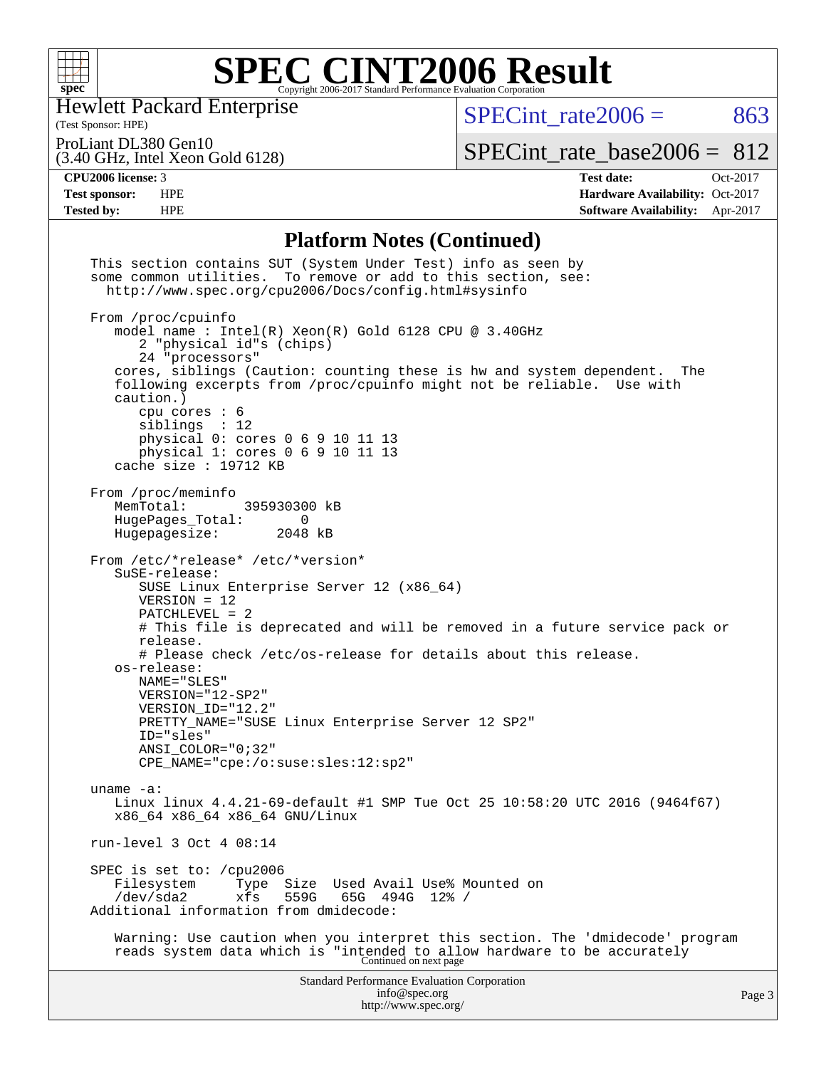

Hewlett Packard Enterprise

(Test Sponsor: HPE)

 $SPECTnt_rate2006 = 863$ 

ProLiant DL380 Gen10

(3.40 GHz, Intel Xeon Gold 6128)

[SPECint\\_rate\\_base2006 =](http://www.spec.org/auto/cpu2006/Docs/result-fields.html#SPECintratebase2006) 812

**[CPU2006 license:](http://www.spec.org/auto/cpu2006/Docs/result-fields.html#CPU2006license)** 3 **[Test date:](http://www.spec.org/auto/cpu2006/Docs/result-fields.html#Testdate)** Oct-2017 **[Test sponsor:](http://www.spec.org/auto/cpu2006/Docs/result-fields.html#Testsponsor)** HPE **[Hardware Availability:](http://www.spec.org/auto/cpu2006/Docs/result-fields.html#HardwareAvailability)** Oct-2017 **[Tested by:](http://www.spec.org/auto/cpu2006/Docs/result-fields.html#Testedby)** HPE **[Software Availability:](http://www.spec.org/auto/cpu2006/Docs/result-fields.html#SoftwareAvailability)** Apr-2017

#### **[Platform Notes \(Continued\)](http://www.spec.org/auto/cpu2006/Docs/result-fields.html#PlatformNotes)**

| This section contains SUT (System Under Test) info as seen by<br>some common utilities. To remove or add to this section, see:<br>http://www.spec.org/cpu2006/Docs/config.html#sysinfo                                                                                                                                                                                                                                                                         |        |
|----------------------------------------------------------------------------------------------------------------------------------------------------------------------------------------------------------------------------------------------------------------------------------------------------------------------------------------------------------------------------------------------------------------------------------------------------------------|--------|
| From /proc/cpuinfo<br>model name : Intel(R) Xeon(R) Gold 6128 CPU @ 3.40GHz<br>2 "physical id"s (chips)<br>24 "processors"                                                                                                                                                                                                                                                                                                                                     |        |
| cores, siblings (Caution: counting these is hw and system dependent. The<br>following excerpts from /proc/cpuinfo might not be reliable. Use with<br>caution.)<br>cpu cores $: 6$                                                                                                                                                                                                                                                                              |        |
| sibling: 12<br>physical 0: cores 0 6 9 10 11 13<br>physical 1: cores 0 6 9 10 11 13<br>cache size : 19712 KB                                                                                                                                                                                                                                                                                                                                                   |        |
| From /proc/meminfo<br>MemTotal:<br>395930300 kB<br>HugePages_Total: 0<br>Hugepagesize: 2048 kB                                                                                                                                                                                                                                                                                                                                                                 |        |
| From /etc/*release* /etc/*version*<br>SuSE-release:<br>SUSE Linux Enterprise Server 12 (x86_64)<br>$VERSION = 12$<br>$PATCHLEVEL = 2$<br># This file is deprecated and will be removed in a future service pack or<br>release.<br># Please check /etc/os-release for details about this release.<br>os-release:<br>NAME="SLES"<br>VERSION="12-SP2"<br>VERSION ID="12.2"<br>PRETTY_NAME="SUSE Linux Enterprise Server 12 SP2"<br>ID="sles"<br>ANSI COLOR="0;32" |        |
| $CPE\_NAME = "cpe://o:suse: sles:12:sp2"$<br>uname $-a$ :<br>Linux linux 4.4.21-69-default #1 SMP Tue Oct 25 10:58:20 UTC 2016 (9464f67)<br>x86_64 x86_64 x86_64 GNU/Linux                                                                                                                                                                                                                                                                                     |        |
| run-level $3$ Oct $4$ 08:14                                                                                                                                                                                                                                                                                                                                                                                                                                    |        |
| SPEC is set to: /cpu2006<br>Type Size Used Avail Use% Mounted on<br>Filesystem<br>559G<br>/dev/sda2<br>xfs<br>65G 494G<br>$12\%$ /<br>Additional information from dmidecode:                                                                                                                                                                                                                                                                                   |        |
| Warning: Use caution when you interpret this section. The 'dmidecode' program<br>reads system data which is "intended to allow hardware to be accurately<br>Continued on next page                                                                                                                                                                                                                                                                             |        |
| Standard Performance Evaluation Corporation<br>info@spec.org<br>http://www.spec.org/                                                                                                                                                                                                                                                                                                                                                                           | Page 3 |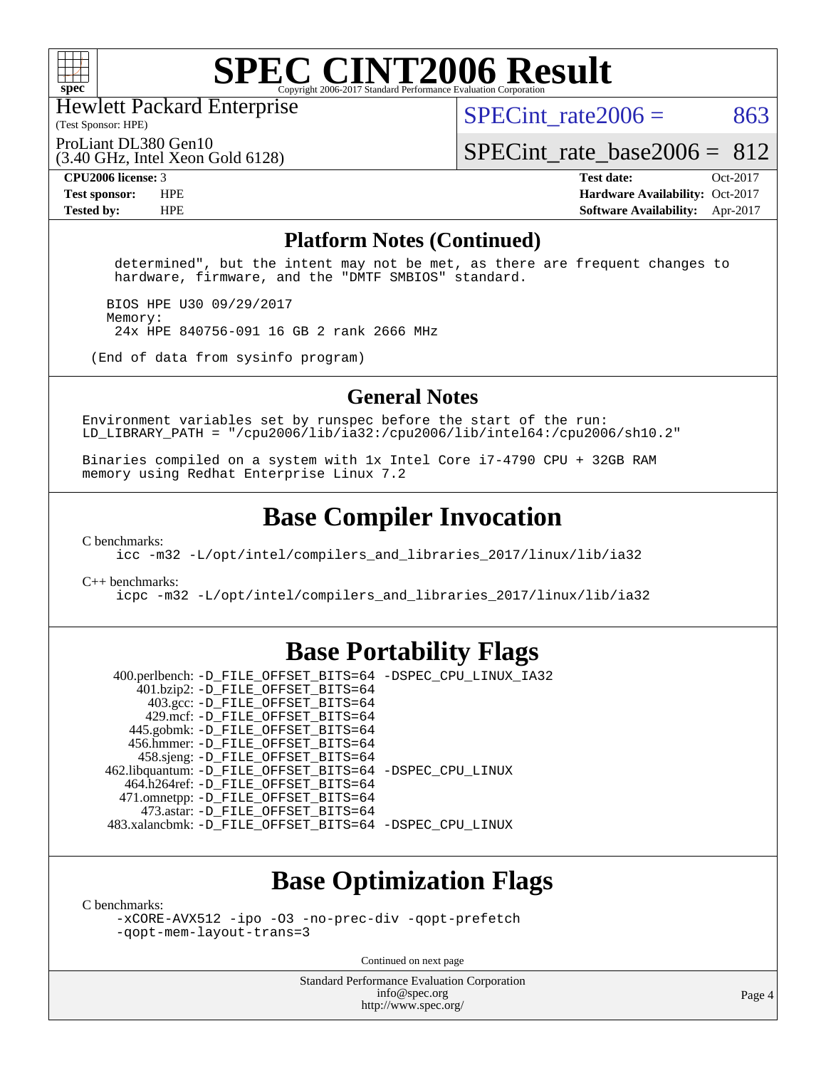

Hewlett Packard Enterprise

(Test Sponsor: HPE)

SPECint rate $2006 = 863$ 

ProLiant DL380 Gen10

(3.40 GHz, Intel Xeon Gold 6128)

SPECint rate base2006 =  $812$ 

**[CPU2006 license:](http://www.spec.org/auto/cpu2006/Docs/result-fields.html#CPU2006license)** 3 **[Test date:](http://www.spec.org/auto/cpu2006/Docs/result-fields.html#Testdate)** Oct-2017 **[Test sponsor:](http://www.spec.org/auto/cpu2006/Docs/result-fields.html#Testsponsor)** HPE **[Hardware Availability:](http://www.spec.org/auto/cpu2006/Docs/result-fields.html#HardwareAvailability)** Oct-2017 **[Tested by:](http://www.spec.org/auto/cpu2006/Docs/result-fields.html#Testedby)** HPE **[Software Availability:](http://www.spec.org/auto/cpu2006/Docs/result-fields.html#SoftwareAvailability)** Apr-2017

#### **[Platform Notes \(Continued\)](http://www.spec.org/auto/cpu2006/Docs/result-fields.html#PlatformNotes)**

 determined", but the intent may not be met, as there are frequent changes to hardware, firmware, and the "DMTF SMBIOS" standard.

 BIOS HPE U30 09/29/2017 Memory: 24x HPE 840756-091 16 GB 2 rank 2666 MHz

(End of data from sysinfo program)

#### **[General Notes](http://www.spec.org/auto/cpu2006/Docs/result-fields.html#GeneralNotes)**

Environment variables set by runspec before the start of the run: LD LIBRARY PATH = "/cpu2006/lib/ia32:/cpu2006/lib/intel64:/cpu2006/sh10.2"

Binaries compiled on a system with 1x Intel Core i7-4790 CPU + 32GB RAM memory using Redhat Enterprise Linux 7.2

### **[Base Compiler Invocation](http://www.spec.org/auto/cpu2006/Docs/result-fields.html#BaseCompilerInvocation)**

[C benchmarks](http://www.spec.org/auto/cpu2006/Docs/result-fields.html#Cbenchmarks):

[icc -m32 -L/opt/intel/compilers\\_and\\_libraries\\_2017/linux/lib/ia32](http://www.spec.org/cpu2006/results/res2017q4/cpu2006-20171031-50417.flags.html#user_CCbase_intel_icc_c29f3ff5a7ed067b11e4ec10a03f03ae)

[C++ benchmarks:](http://www.spec.org/auto/cpu2006/Docs/result-fields.html#CXXbenchmarks)

[icpc -m32 -L/opt/intel/compilers\\_and\\_libraries\\_2017/linux/lib/ia32](http://www.spec.org/cpu2006/results/res2017q4/cpu2006-20171031-50417.flags.html#user_CXXbase_intel_icpc_8c35c7808b62dab9ae41a1aa06361b6b)

### **[Base Portability Flags](http://www.spec.org/auto/cpu2006/Docs/result-fields.html#BasePortabilityFlags)**

 400.perlbench: [-D\\_FILE\\_OFFSET\\_BITS=64](http://www.spec.org/cpu2006/results/res2017q4/cpu2006-20171031-50417.flags.html#user_basePORTABILITY400_perlbench_file_offset_bits_64_438cf9856305ebd76870a2c6dc2689ab) [-DSPEC\\_CPU\\_LINUX\\_IA32](http://www.spec.org/cpu2006/results/res2017q4/cpu2006-20171031-50417.flags.html#b400.perlbench_baseCPORTABILITY_DSPEC_CPU_LINUX_IA32) 401.bzip2: [-D\\_FILE\\_OFFSET\\_BITS=64](http://www.spec.org/cpu2006/results/res2017q4/cpu2006-20171031-50417.flags.html#user_basePORTABILITY401_bzip2_file_offset_bits_64_438cf9856305ebd76870a2c6dc2689ab) 403.gcc: [-D\\_FILE\\_OFFSET\\_BITS=64](http://www.spec.org/cpu2006/results/res2017q4/cpu2006-20171031-50417.flags.html#user_basePORTABILITY403_gcc_file_offset_bits_64_438cf9856305ebd76870a2c6dc2689ab) 429.mcf: [-D\\_FILE\\_OFFSET\\_BITS=64](http://www.spec.org/cpu2006/results/res2017q4/cpu2006-20171031-50417.flags.html#user_basePORTABILITY429_mcf_file_offset_bits_64_438cf9856305ebd76870a2c6dc2689ab) 445.gobmk: [-D\\_FILE\\_OFFSET\\_BITS=64](http://www.spec.org/cpu2006/results/res2017q4/cpu2006-20171031-50417.flags.html#user_basePORTABILITY445_gobmk_file_offset_bits_64_438cf9856305ebd76870a2c6dc2689ab) 456.hmmer: [-D\\_FILE\\_OFFSET\\_BITS=64](http://www.spec.org/cpu2006/results/res2017q4/cpu2006-20171031-50417.flags.html#user_basePORTABILITY456_hmmer_file_offset_bits_64_438cf9856305ebd76870a2c6dc2689ab) 458.sjeng: [-D\\_FILE\\_OFFSET\\_BITS=64](http://www.spec.org/cpu2006/results/res2017q4/cpu2006-20171031-50417.flags.html#user_basePORTABILITY458_sjeng_file_offset_bits_64_438cf9856305ebd76870a2c6dc2689ab) 462.libquantum: [-D\\_FILE\\_OFFSET\\_BITS=64](http://www.spec.org/cpu2006/results/res2017q4/cpu2006-20171031-50417.flags.html#user_basePORTABILITY462_libquantum_file_offset_bits_64_438cf9856305ebd76870a2c6dc2689ab) [-DSPEC\\_CPU\\_LINUX](http://www.spec.org/cpu2006/results/res2017q4/cpu2006-20171031-50417.flags.html#b462.libquantum_baseCPORTABILITY_DSPEC_CPU_LINUX) 464.h264ref: [-D\\_FILE\\_OFFSET\\_BITS=64](http://www.spec.org/cpu2006/results/res2017q4/cpu2006-20171031-50417.flags.html#user_basePORTABILITY464_h264ref_file_offset_bits_64_438cf9856305ebd76870a2c6dc2689ab) 471.omnetpp: [-D\\_FILE\\_OFFSET\\_BITS=64](http://www.spec.org/cpu2006/results/res2017q4/cpu2006-20171031-50417.flags.html#user_basePORTABILITY471_omnetpp_file_offset_bits_64_438cf9856305ebd76870a2c6dc2689ab) 473.astar: [-D\\_FILE\\_OFFSET\\_BITS=64](http://www.spec.org/cpu2006/results/res2017q4/cpu2006-20171031-50417.flags.html#user_basePORTABILITY473_astar_file_offset_bits_64_438cf9856305ebd76870a2c6dc2689ab) 483.xalancbmk: [-D\\_FILE\\_OFFSET\\_BITS=64](http://www.spec.org/cpu2006/results/res2017q4/cpu2006-20171031-50417.flags.html#user_basePORTABILITY483_xalancbmk_file_offset_bits_64_438cf9856305ebd76870a2c6dc2689ab) [-DSPEC\\_CPU\\_LINUX](http://www.spec.org/cpu2006/results/res2017q4/cpu2006-20171031-50417.flags.html#b483.xalancbmk_baseCXXPORTABILITY_DSPEC_CPU_LINUX)

## **[Base Optimization Flags](http://www.spec.org/auto/cpu2006/Docs/result-fields.html#BaseOptimizationFlags)**

[C benchmarks](http://www.spec.org/auto/cpu2006/Docs/result-fields.html#Cbenchmarks):

[-xCORE-AVX512](http://www.spec.org/cpu2006/results/res2017q4/cpu2006-20171031-50417.flags.html#user_CCbase_f-xCORE-AVX512) [-ipo](http://www.spec.org/cpu2006/results/res2017q4/cpu2006-20171031-50417.flags.html#user_CCbase_f-ipo) [-O3](http://www.spec.org/cpu2006/results/res2017q4/cpu2006-20171031-50417.flags.html#user_CCbase_f-O3) [-no-prec-div](http://www.spec.org/cpu2006/results/res2017q4/cpu2006-20171031-50417.flags.html#user_CCbase_f-no-prec-div) [-qopt-prefetch](http://www.spec.org/cpu2006/results/res2017q4/cpu2006-20171031-50417.flags.html#user_CCbase_f-qopt-prefetch) [-qopt-mem-layout-trans=3](http://www.spec.org/cpu2006/results/res2017q4/cpu2006-20171031-50417.flags.html#user_CCbase_f-qopt-mem-layout-trans_170f5be61cd2cedc9b54468c59262d5d)

Continued on next page

Standard Performance Evaluation Corporation [info@spec.org](mailto:info@spec.org) <http://www.spec.org/>

Page 4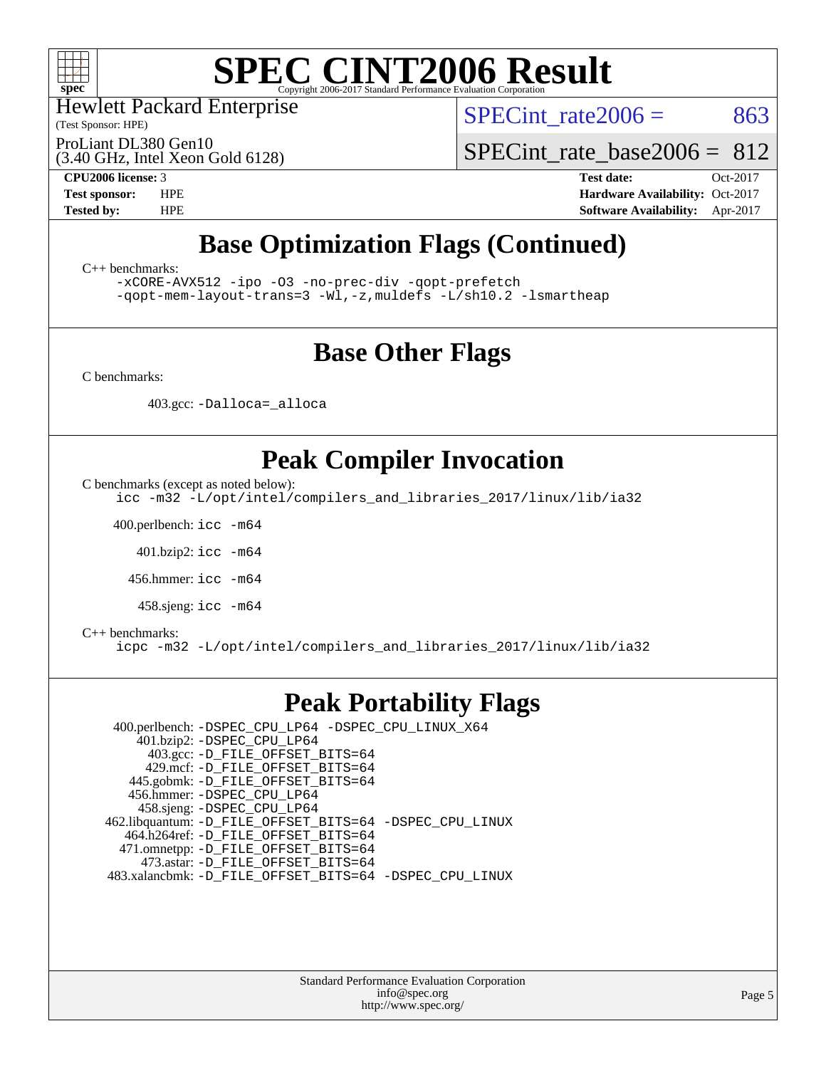

Hewlett Packard Enterprise

(Test Sponsor: HPE)

SPECint rate $2006 = 863$ 

ProLiant DL380 Gen10

(3.40 GHz, Intel Xeon Gold 6128)

[SPECint\\_rate\\_base2006 =](http://www.spec.org/auto/cpu2006/Docs/result-fields.html#SPECintratebase2006) 812

**[CPU2006 license:](http://www.spec.org/auto/cpu2006/Docs/result-fields.html#CPU2006license)** 3 **[Test date:](http://www.spec.org/auto/cpu2006/Docs/result-fields.html#Testdate)** Oct-2017 **[Test sponsor:](http://www.spec.org/auto/cpu2006/Docs/result-fields.html#Testsponsor)** HPE **[Hardware Availability:](http://www.spec.org/auto/cpu2006/Docs/result-fields.html#HardwareAvailability)** Oct-2017 **[Tested by:](http://www.spec.org/auto/cpu2006/Docs/result-fields.html#Testedby)** HPE **[Software Availability:](http://www.spec.org/auto/cpu2006/Docs/result-fields.html#SoftwareAvailability)** Apr-2017

# **[Base Optimization Flags \(Continued\)](http://www.spec.org/auto/cpu2006/Docs/result-fields.html#BaseOptimizationFlags)**

[C++ benchmarks:](http://www.spec.org/auto/cpu2006/Docs/result-fields.html#CXXbenchmarks)

[-xCORE-AVX512](http://www.spec.org/cpu2006/results/res2017q4/cpu2006-20171031-50417.flags.html#user_CXXbase_f-xCORE-AVX512) [-ipo](http://www.spec.org/cpu2006/results/res2017q4/cpu2006-20171031-50417.flags.html#user_CXXbase_f-ipo) [-O3](http://www.spec.org/cpu2006/results/res2017q4/cpu2006-20171031-50417.flags.html#user_CXXbase_f-O3) [-no-prec-div](http://www.spec.org/cpu2006/results/res2017q4/cpu2006-20171031-50417.flags.html#user_CXXbase_f-no-prec-div) [-qopt-prefetch](http://www.spec.org/cpu2006/results/res2017q4/cpu2006-20171031-50417.flags.html#user_CXXbase_f-qopt-prefetch) [-qopt-mem-layout-trans=3](http://www.spec.org/cpu2006/results/res2017q4/cpu2006-20171031-50417.flags.html#user_CXXbase_f-qopt-mem-layout-trans_170f5be61cd2cedc9b54468c59262d5d) [-Wl,-z,muldefs](http://www.spec.org/cpu2006/results/res2017q4/cpu2006-20171031-50417.flags.html#user_CXXbase_link_force_multiple1_74079c344b956b9658436fd1b6dd3a8a) [-L/sh10.2 -lsmartheap](http://www.spec.org/cpu2006/results/res2017q4/cpu2006-20171031-50417.flags.html#user_CXXbase_SmartHeap_b831f2d313e2fffa6dfe3f00ffc1f1c0)

## **[Base Other Flags](http://www.spec.org/auto/cpu2006/Docs/result-fields.html#BaseOtherFlags)**

[C benchmarks](http://www.spec.org/auto/cpu2006/Docs/result-fields.html#Cbenchmarks):

403.gcc: [-Dalloca=\\_alloca](http://www.spec.org/cpu2006/results/res2017q4/cpu2006-20171031-50417.flags.html#b403.gcc_baseEXTRA_CFLAGS_Dalloca_be3056838c12de2578596ca5467af7f3)

# **[Peak Compiler Invocation](http://www.spec.org/auto/cpu2006/Docs/result-fields.html#PeakCompilerInvocation)**

[C benchmarks \(except as noted below\)](http://www.spec.org/auto/cpu2006/Docs/result-fields.html#Cbenchmarksexceptasnotedbelow):

[icc -m32 -L/opt/intel/compilers\\_and\\_libraries\\_2017/linux/lib/ia32](http://www.spec.org/cpu2006/results/res2017q4/cpu2006-20171031-50417.flags.html#user_CCpeak_intel_icc_c29f3ff5a7ed067b11e4ec10a03f03ae)

400.perlbench: [icc -m64](http://www.spec.org/cpu2006/results/res2017q4/cpu2006-20171031-50417.flags.html#user_peakCCLD400_perlbench_intel_icc_64bit_bda6cc9af1fdbb0edc3795bac97ada53)

401.bzip2: [icc -m64](http://www.spec.org/cpu2006/results/res2017q4/cpu2006-20171031-50417.flags.html#user_peakCCLD401_bzip2_intel_icc_64bit_bda6cc9af1fdbb0edc3795bac97ada53)

456.hmmer: [icc -m64](http://www.spec.org/cpu2006/results/res2017q4/cpu2006-20171031-50417.flags.html#user_peakCCLD456_hmmer_intel_icc_64bit_bda6cc9af1fdbb0edc3795bac97ada53)

458.sjeng: [icc -m64](http://www.spec.org/cpu2006/results/res2017q4/cpu2006-20171031-50417.flags.html#user_peakCCLD458_sjeng_intel_icc_64bit_bda6cc9af1fdbb0edc3795bac97ada53)

#### [C++ benchmarks:](http://www.spec.org/auto/cpu2006/Docs/result-fields.html#CXXbenchmarks)

[icpc -m32 -L/opt/intel/compilers\\_and\\_libraries\\_2017/linux/lib/ia32](http://www.spec.org/cpu2006/results/res2017q4/cpu2006-20171031-50417.flags.html#user_CXXpeak_intel_icpc_8c35c7808b62dab9ae41a1aa06361b6b)

### **[Peak Portability Flags](http://www.spec.org/auto/cpu2006/Docs/result-fields.html#PeakPortabilityFlags)**

 400.perlbench: [-DSPEC\\_CPU\\_LP64](http://www.spec.org/cpu2006/results/res2017q4/cpu2006-20171031-50417.flags.html#b400.perlbench_peakCPORTABILITY_DSPEC_CPU_LP64) [-DSPEC\\_CPU\\_LINUX\\_X64](http://www.spec.org/cpu2006/results/res2017q4/cpu2006-20171031-50417.flags.html#b400.perlbench_peakCPORTABILITY_DSPEC_CPU_LINUX_X64) 401.bzip2: [-DSPEC\\_CPU\\_LP64](http://www.spec.org/cpu2006/results/res2017q4/cpu2006-20171031-50417.flags.html#suite_peakCPORTABILITY401_bzip2_DSPEC_CPU_LP64) 403.gcc: [-D\\_FILE\\_OFFSET\\_BITS=64](http://www.spec.org/cpu2006/results/res2017q4/cpu2006-20171031-50417.flags.html#user_peakPORTABILITY403_gcc_file_offset_bits_64_438cf9856305ebd76870a2c6dc2689ab) 429.mcf: [-D\\_FILE\\_OFFSET\\_BITS=64](http://www.spec.org/cpu2006/results/res2017q4/cpu2006-20171031-50417.flags.html#user_peakPORTABILITY429_mcf_file_offset_bits_64_438cf9856305ebd76870a2c6dc2689ab) 445.gobmk: [-D\\_FILE\\_OFFSET\\_BITS=64](http://www.spec.org/cpu2006/results/res2017q4/cpu2006-20171031-50417.flags.html#user_peakPORTABILITY445_gobmk_file_offset_bits_64_438cf9856305ebd76870a2c6dc2689ab) 456.hmmer: [-DSPEC\\_CPU\\_LP64](http://www.spec.org/cpu2006/results/res2017q4/cpu2006-20171031-50417.flags.html#suite_peakCPORTABILITY456_hmmer_DSPEC_CPU_LP64) 458.sjeng: [-DSPEC\\_CPU\\_LP64](http://www.spec.org/cpu2006/results/res2017q4/cpu2006-20171031-50417.flags.html#suite_peakCPORTABILITY458_sjeng_DSPEC_CPU_LP64) 462.libquantum: [-D\\_FILE\\_OFFSET\\_BITS=64](http://www.spec.org/cpu2006/results/res2017q4/cpu2006-20171031-50417.flags.html#user_peakPORTABILITY462_libquantum_file_offset_bits_64_438cf9856305ebd76870a2c6dc2689ab) [-DSPEC\\_CPU\\_LINUX](http://www.spec.org/cpu2006/results/res2017q4/cpu2006-20171031-50417.flags.html#b462.libquantum_peakCPORTABILITY_DSPEC_CPU_LINUX) 464.h264ref: [-D\\_FILE\\_OFFSET\\_BITS=64](http://www.spec.org/cpu2006/results/res2017q4/cpu2006-20171031-50417.flags.html#user_peakPORTABILITY464_h264ref_file_offset_bits_64_438cf9856305ebd76870a2c6dc2689ab) 471.omnetpp: [-D\\_FILE\\_OFFSET\\_BITS=64](http://www.spec.org/cpu2006/results/res2017q4/cpu2006-20171031-50417.flags.html#user_peakPORTABILITY471_omnetpp_file_offset_bits_64_438cf9856305ebd76870a2c6dc2689ab) 473.astar: [-D\\_FILE\\_OFFSET\\_BITS=64](http://www.spec.org/cpu2006/results/res2017q4/cpu2006-20171031-50417.flags.html#user_peakPORTABILITY473_astar_file_offset_bits_64_438cf9856305ebd76870a2c6dc2689ab) 483.xalancbmk: [-D\\_FILE\\_OFFSET\\_BITS=64](http://www.spec.org/cpu2006/results/res2017q4/cpu2006-20171031-50417.flags.html#user_peakPORTABILITY483_xalancbmk_file_offset_bits_64_438cf9856305ebd76870a2c6dc2689ab) [-DSPEC\\_CPU\\_LINUX](http://www.spec.org/cpu2006/results/res2017q4/cpu2006-20171031-50417.flags.html#b483.xalancbmk_peakCXXPORTABILITY_DSPEC_CPU_LINUX)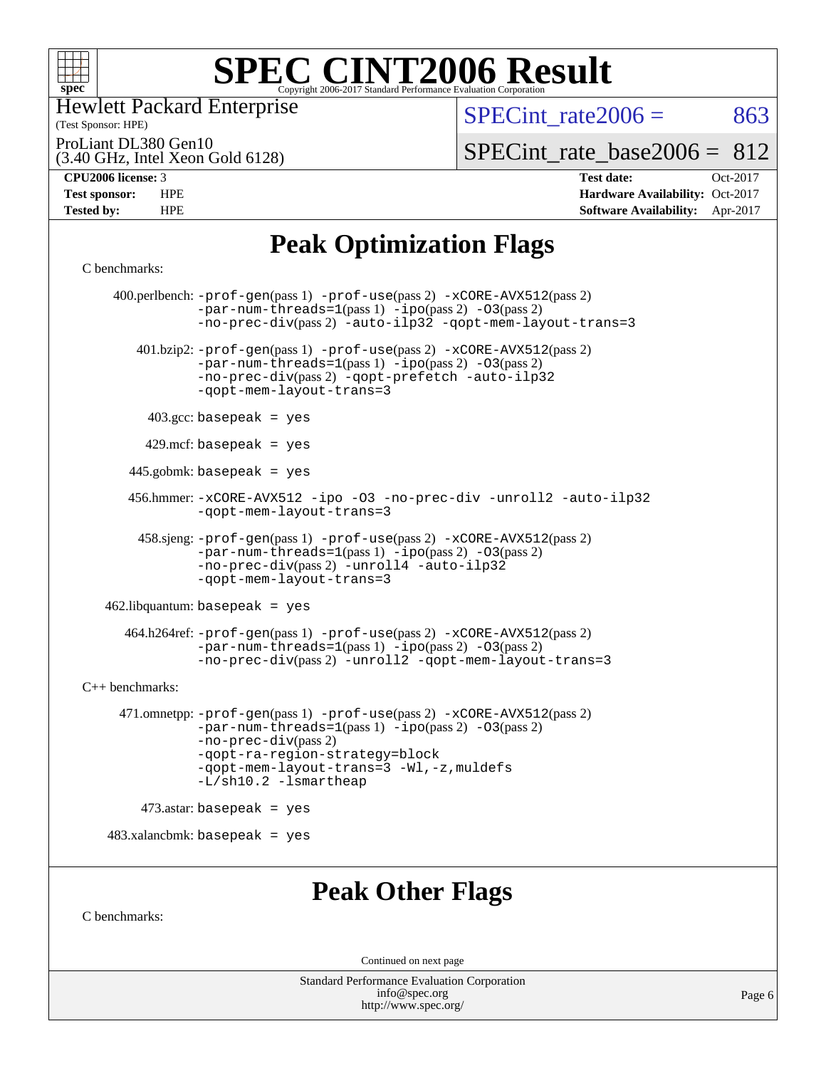

Hewlett Packard Enterprise

(Test Sponsor: HPE)

SPECint rate $2006 = 863$ 

ProLiant DL380 Gen10

(3.40 GHz, Intel Xeon Gold 6128)

SPECint rate base2006 =  $812$ 

**[CPU2006 license:](http://www.spec.org/auto/cpu2006/Docs/result-fields.html#CPU2006license)** 3 **[Test date:](http://www.spec.org/auto/cpu2006/Docs/result-fields.html#Testdate)** Oct-2017 **[Test sponsor:](http://www.spec.org/auto/cpu2006/Docs/result-fields.html#Testsponsor)** HPE **[Hardware Availability:](http://www.spec.org/auto/cpu2006/Docs/result-fields.html#HardwareAvailability)** Oct-2017 **[Tested by:](http://www.spec.org/auto/cpu2006/Docs/result-fields.html#Testedby)** HPE **[Software Availability:](http://www.spec.org/auto/cpu2006/Docs/result-fields.html#SoftwareAvailability)** Apr-2017

# **[Peak Optimization Flags](http://www.spec.org/auto/cpu2006/Docs/result-fields.html#PeakOptimizationFlags)**

```
C benchmarks:
```
 400.perlbench: [-prof-gen](http://www.spec.org/cpu2006/results/res2017q4/cpu2006-20171031-50417.flags.html#user_peakPASS1_CFLAGSPASS1_LDCFLAGS400_perlbench_prof_gen_e43856698f6ca7b7e442dfd80e94a8fc)(pass 1) [-prof-use](http://www.spec.org/cpu2006/results/res2017q4/cpu2006-20171031-50417.flags.html#user_peakPASS2_CFLAGSPASS2_LDCFLAGS400_perlbench_prof_use_bccf7792157ff70d64e32fe3e1250b55)(pass 2) [-xCORE-AVX512](http://www.spec.org/cpu2006/results/res2017q4/cpu2006-20171031-50417.flags.html#user_peakPASS2_CFLAGSPASS2_LDCFLAGS400_perlbench_f-xCORE-AVX512)(pass 2)  $-par-num-threads=1(pass 1) -ipo(pass 2) -O3(pass 2)$  $-par-num-threads=1(pass 1) -ipo(pass 2) -O3(pass 2)$  $-par-num-threads=1(pass 1) -ipo(pass 2) -O3(pass 2)$  $-par-num-threads=1(pass 1) -ipo(pass 2) -O3(pass 2)$  $-par-num-threads=1(pass 1) -ipo(pass 2) -O3(pass 2)$  $-par-num-threads=1(pass 1) -ipo(pass 2) -O3(pass 2)$ [-no-prec-div](http://www.spec.org/cpu2006/results/res2017q4/cpu2006-20171031-50417.flags.html#user_peakPASS2_CFLAGSPASS2_LDCFLAGS400_perlbench_f-no-prec-div)(pass 2) [-auto-ilp32](http://www.spec.org/cpu2006/results/res2017q4/cpu2006-20171031-50417.flags.html#user_peakCOPTIMIZE400_perlbench_f-auto-ilp32) [-qopt-mem-layout-trans=3](http://www.spec.org/cpu2006/results/res2017q4/cpu2006-20171031-50417.flags.html#user_peakCOPTIMIZE400_perlbench_f-qopt-mem-layout-trans_170f5be61cd2cedc9b54468c59262d5d) 401.bzip2: [-prof-gen](http://www.spec.org/cpu2006/results/res2017q4/cpu2006-20171031-50417.flags.html#user_peakPASS1_CFLAGSPASS1_LDCFLAGS401_bzip2_prof_gen_e43856698f6ca7b7e442dfd80e94a8fc)(pass 1) [-prof-use](http://www.spec.org/cpu2006/results/res2017q4/cpu2006-20171031-50417.flags.html#user_peakPASS2_CFLAGSPASS2_LDCFLAGS401_bzip2_prof_use_bccf7792157ff70d64e32fe3e1250b55)(pass 2) [-xCORE-AVX512](http://www.spec.org/cpu2006/results/res2017q4/cpu2006-20171031-50417.flags.html#user_peakPASS2_CFLAGSPASS2_LDCFLAGS401_bzip2_f-xCORE-AVX512)(pass 2) [-par-num-threads=1](http://www.spec.org/cpu2006/results/res2017q4/cpu2006-20171031-50417.flags.html#user_peakPASS1_CFLAGSPASS1_LDCFLAGS401_bzip2_par_num_threads_786a6ff141b4e9e90432e998842df6c2)(pass 1) [-ipo](http://www.spec.org/cpu2006/results/res2017q4/cpu2006-20171031-50417.flags.html#user_peakPASS2_CFLAGSPASS2_LDCFLAGS401_bzip2_f-ipo)(pass 2) [-O3](http://www.spec.org/cpu2006/results/res2017q4/cpu2006-20171031-50417.flags.html#user_peakPASS2_CFLAGSPASS2_LDCFLAGS401_bzip2_f-O3)(pass 2) [-no-prec-div](http://www.spec.org/cpu2006/results/res2017q4/cpu2006-20171031-50417.flags.html#user_peakPASS2_CFLAGSPASS2_LDCFLAGS401_bzip2_f-no-prec-div)(pass 2) [-qopt-prefetch](http://www.spec.org/cpu2006/results/res2017q4/cpu2006-20171031-50417.flags.html#user_peakCOPTIMIZE401_bzip2_f-qopt-prefetch) [-auto-ilp32](http://www.spec.org/cpu2006/results/res2017q4/cpu2006-20171031-50417.flags.html#user_peakCOPTIMIZE401_bzip2_f-auto-ilp32) [-qopt-mem-layout-trans=3](http://www.spec.org/cpu2006/results/res2017q4/cpu2006-20171031-50417.flags.html#user_peakCOPTIMIZE401_bzip2_f-qopt-mem-layout-trans_170f5be61cd2cedc9b54468c59262d5d)  $403.\text{gcc: basepeak}$  = yes 429.mcf: basepeak = yes 445.gobmk: basepeak = yes 456.hmmer: [-xCORE-AVX512](http://www.spec.org/cpu2006/results/res2017q4/cpu2006-20171031-50417.flags.html#user_peakOPTIMIZE456_hmmer_f-xCORE-AVX512) [-ipo](http://www.spec.org/cpu2006/results/res2017q4/cpu2006-20171031-50417.flags.html#user_peakOPTIMIZE456_hmmer_f-ipo) [-O3](http://www.spec.org/cpu2006/results/res2017q4/cpu2006-20171031-50417.flags.html#user_peakOPTIMIZE456_hmmer_f-O3) [-no-prec-div](http://www.spec.org/cpu2006/results/res2017q4/cpu2006-20171031-50417.flags.html#user_peakOPTIMIZE456_hmmer_f-no-prec-div) [-unroll2](http://www.spec.org/cpu2006/results/res2017q4/cpu2006-20171031-50417.flags.html#user_peakCOPTIMIZE456_hmmer_f-unroll_784dae83bebfb236979b41d2422d7ec2) [-auto-ilp32](http://www.spec.org/cpu2006/results/res2017q4/cpu2006-20171031-50417.flags.html#user_peakCOPTIMIZE456_hmmer_f-auto-ilp32) [-qopt-mem-layout-trans=3](http://www.spec.org/cpu2006/results/res2017q4/cpu2006-20171031-50417.flags.html#user_peakCOPTIMIZE456_hmmer_f-qopt-mem-layout-trans_170f5be61cd2cedc9b54468c59262d5d) 458.sjeng: [-prof-gen](http://www.spec.org/cpu2006/results/res2017q4/cpu2006-20171031-50417.flags.html#user_peakPASS1_CFLAGSPASS1_LDCFLAGS458_sjeng_prof_gen_e43856698f6ca7b7e442dfd80e94a8fc)(pass 1) [-prof-use](http://www.spec.org/cpu2006/results/res2017q4/cpu2006-20171031-50417.flags.html#user_peakPASS2_CFLAGSPASS2_LDCFLAGS458_sjeng_prof_use_bccf7792157ff70d64e32fe3e1250b55)(pass 2) [-xCORE-AVX512](http://www.spec.org/cpu2006/results/res2017q4/cpu2006-20171031-50417.flags.html#user_peakPASS2_CFLAGSPASS2_LDCFLAGS458_sjeng_f-xCORE-AVX512)(pass 2)  $-par-num-threads=1(pass 1) -ipo(pass 2) -O3(pass 2)$  $-par-num-threads=1(pass 1) -ipo(pass 2) -O3(pass 2)$  $-par-num-threads=1(pass 1) -ipo(pass 2) -O3(pass 2)$  $-par-num-threads=1(pass 1) -ipo(pass 2) -O3(pass 2)$  $-par-num-threads=1(pass 1) -ipo(pass 2) -O3(pass 2)$  $-par-num-threads=1(pass 1) -ipo(pass 2) -O3(pass 2)$ [-no-prec-div](http://www.spec.org/cpu2006/results/res2017q4/cpu2006-20171031-50417.flags.html#user_peakPASS2_CFLAGSPASS2_LDCFLAGS458_sjeng_f-no-prec-div)(pass 2) [-unroll4](http://www.spec.org/cpu2006/results/res2017q4/cpu2006-20171031-50417.flags.html#user_peakCOPTIMIZE458_sjeng_f-unroll_4e5e4ed65b7fd20bdcd365bec371b81f) [-auto-ilp32](http://www.spec.org/cpu2006/results/res2017q4/cpu2006-20171031-50417.flags.html#user_peakCOPTIMIZE458_sjeng_f-auto-ilp32) [-qopt-mem-layout-trans=3](http://www.spec.org/cpu2006/results/res2017q4/cpu2006-20171031-50417.flags.html#user_peakCOPTIMIZE458_sjeng_f-qopt-mem-layout-trans_170f5be61cd2cedc9b54468c59262d5d) 462.libquantum: basepeak = yes 464.h264ref: [-prof-gen](http://www.spec.org/cpu2006/results/res2017q4/cpu2006-20171031-50417.flags.html#user_peakPASS1_CFLAGSPASS1_LDCFLAGS464_h264ref_prof_gen_e43856698f6ca7b7e442dfd80e94a8fc)(pass 1) [-prof-use](http://www.spec.org/cpu2006/results/res2017q4/cpu2006-20171031-50417.flags.html#user_peakPASS2_CFLAGSPASS2_LDCFLAGS464_h264ref_prof_use_bccf7792157ff70d64e32fe3e1250b55)(pass 2) [-xCORE-AVX512](http://www.spec.org/cpu2006/results/res2017q4/cpu2006-20171031-50417.flags.html#user_peakPASS2_CFLAGSPASS2_LDCFLAGS464_h264ref_f-xCORE-AVX512)(pass 2) [-par-num-threads=1](http://www.spec.org/cpu2006/results/res2017q4/cpu2006-20171031-50417.flags.html#user_peakPASS1_CFLAGSPASS1_LDCFLAGS464_h264ref_par_num_threads_786a6ff141b4e9e90432e998842df6c2)(pass 1) [-ipo](http://www.spec.org/cpu2006/results/res2017q4/cpu2006-20171031-50417.flags.html#user_peakPASS2_CFLAGSPASS2_LDCFLAGS464_h264ref_f-ipo)(pass 2) [-O3](http://www.spec.org/cpu2006/results/res2017q4/cpu2006-20171031-50417.flags.html#user_peakPASS2_CFLAGSPASS2_LDCFLAGS464_h264ref_f-O3)(pass 2) [-no-prec-div](http://www.spec.org/cpu2006/results/res2017q4/cpu2006-20171031-50417.flags.html#user_peakPASS2_CFLAGSPASS2_LDCFLAGS464_h264ref_f-no-prec-div)(pass 2) [-unroll2](http://www.spec.org/cpu2006/results/res2017q4/cpu2006-20171031-50417.flags.html#user_peakCOPTIMIZE464_h264ref_f-unroll_784dae83bebfb236979b41d2422d7ec2) [-qopt-mem-layout-trans=3](http://www.spec.org/cpu2006/results/res2017q4/cpu2006-20171031-50417.flags.html#user_peakCOPTIMIZE464_h264ref_f-qopt-mem-layout-trans_170f5be61cd2cedc9b54468c59262d5d) [C++ benchmarks:](http://www.spec.org/auto/cpu2006/Docs/result-fields.html#CXXbenchmarks) 471.omnetpp: [-prof-gen](http://www.spec.org/cpu2006/results/res2017q4/cpu2006-20171031-50417.flags.html#user_peakPASS1_CXXFLAGSPASS1_LDCXXFLAGS471_omnetpp_prof_gen_e43856698f6ca7b7e442dfd80e94a8fc)(pass 1) [-prof-use](http://www.spec.org/cpu2006/results/res2017q4/cpu2006-20171031-50417.flags.html#user_peakPASS2_CXXFLAGSPASS2_LDCXXFLAGS471_omnetpp_prof_use_bccf7792157ff70d64e32fe3e1250b55)(pass 2) [-xCORE-AVX512](http://www.spec.org/cpu2006/results/res2017q4/cpu2006-20171031-50417.flags.html#user_peakPASS2_CXXFLAGSPASS2_LDCXXFLAGS471_omnetpp_f-xCORE-AVX512)(pass 2)  $-$ par-num-threads=1(pass 1)  $-$ ipo(pass 2)  $-$ O3(pass 2) [-no-prec-div](http://www.spec.org/cpu2006/results/res2017q4/cpu2006-20171031-50417.flags.html#user_peakPASS2_CXXFLAGSPASS2_LDCXXFLAGS471_omnetpp_f-no-prec-div)(pass 2) [-qopt-ra-region-strategy=block](http://www.spec.org/cpu2006/results/res2017q4/cpu2006-20171031-50417.flags.html#user_peakCXXOPTIMIZE471_omnetpp_f-qopt-ra-region-strategy_430aa8f7c220cbde92ae827fa8d9be32)  [-qopt-mem-layout-trans=3](http://www.spec.org/cpu2006/results/res2017q4/cpu2006-20171031-50417.flags.html#user_peakCXXOPTIMIZE471_omnetpp_f-qopt-mem-layout-trans_170f5be61cd2cedc9b54468c59262d5d) [-Wl,-z,muldefs](http://www.spec.org/cpu2006/results/res2017q4/cpu2006-20171031-50417.flags.html#user_peakEXTRA_LDFLAGS471_omnetpp_link_force_multiple1_74079c344b956b9658436fd1b6dd3a8a) [-L/sh10.2 -lsmartheap](http://www.spec.org/cpu2006/results/res2017q4/cpu2006-20171031-50417.flags.html#user_peakEXTRA_LIBS471_omnetpp_SmartHeap_b831f2d313e2fffa6dfe3f00ffc1f1c0)  $473$ .astar: basepeak = yes  $483.xalanchmk: basepeak = yes$ **[Peak Other Flags](http://www.spec.org/auto/cpu2006/Docs/result-fields.html#PeakOtherFlags)** [C benchmarks](http://www.spec.org/auto/cpu2006/Docs/result-fields.html#Cbenchmarks):

Continued on next page